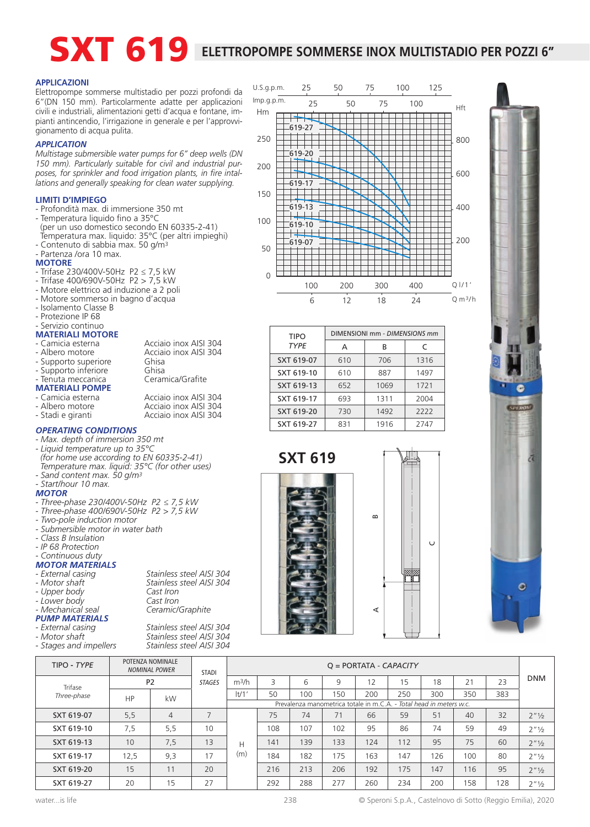# SXT 619 ELETTROPOMPE SOMMERSE INOX MULTISTADIO PER POZZI 6"

#### **APPLICAZIONI**

Elettropompe sommerse multistadio per pozzi profondi da 6"(DN 150 mm). Particolarmente adatte per applicazioni civili e industriali, alimentazioni getti d'acqua e fontane, impianti antincendio, l'irrigazione in generale e per l'approvvigionamento di acqua pulita.

#### *APPLICATION*

*Multistage submersible water pumps for 6" deep wells (DN 150 mm). Particularly suitable for civil and industrial purposes, for sprinkler and food irrigation plants, in fire intallations and generally speaking for clean water supplying.*

#### **LIMITI D'IMPIEGO**

- Profondità max. di immersione 350 mt
- Temperatura liquido fino a 35°C (per un uso domestico secondo EN 60335-2-41) Temperatura max. liquido: 35°C (per altri impieghi) - Contenuto di sabbia max. 50 g/m<sup>3</sup>
- Partenza /ora 10 max.

#### **MOTORE**

- Trifase 230/400V-50Hz P2 ≤ 7,5 kW
- Trifase 400/690V-50Hz P2 > 7,5 kW
- Motore elettrico ad induzione a 2 poli
- Motore sommerso in bagno d'acqua
- Isolamento Classe B
- Protezione IP 68

#### Servizio continuo **MATERIALI MOTORE**

- 
- 
- Camicia esterna <br>- Albero motore Acciaio inox AISI 304 Acciaio inox AISI 304<br>Ghisa - Supporto superiore Ghisa<br>- Supporto inferiore Ghisa
- Supporto inferiore Ghisa<br>Tenuta meccanica Ceramica/Grafite Tenuta meccanica
- **MATERIALI POMPE**
- Camicia esterna Acciaio inox AISI 304
- Albero motore **Acciaio inox AISI 304**<br>- Stadi e giranti **Acciaio inox AISI 304**
- 

#### *OPERATING CONDITIONS*

- *Max. depth of immersion 350 mt*
- *Liquid temperature up to 35°C (for home use according to EN 60335-2-41)*
- *Temperature max. liquid: 35°C (for other uses) - Sand content max. 50 g/m3 - Start/hour 10 max.*
- *MOTOR*
- *Three-phase 230/400V-50Hz P2 ≤ 7,5 kW*
- *Three-phase 400/690V-50Hz P2 > 7,5 kW*
- *Two-pole induction motor*
- *Submersible motor in water bath*
- *Class B Insulation*
- *IP 68 Protection*
- *Continuous duty*

## *MOTOR MATERIALS*

- 
- 
- 
- *Mechanical seal Ceramic/Graphite*
- 
- *PUMP MATERIALS*
- 
- *Stages and impellers Stainless steel AISI 304*

*- External casing Stainless steel AISI 304 - Motor shaft Stainless steel AISI 304*



| <b>TIPO</b> | DIMENSIONI mm - DIMENSIONS mm |      |      |  |  |  |  |  |  |
|-------------|-------------------------------|------|------|--|--|--|--|--|--|
| <b>TYPE</b> | А                             | R    | C    |  |  |  |  |  |  |
| SXT 619-07  | 610                           | 706  | 1316 |  |  |  |  |  |  |
| SXT 619-10  | 610                           | 887  | 1497 |  |  |  |  |  |  |
| SXT 619-13  | 652                           | 1069 | 1721 |  |  |  |  |  |  |
| SXT 619-17  | 693                           | 1311 | 2004 |  |  |  |  |  |  |
| SXT 619-20  | 730                           | 1492 | 2222 |  |  |  |  |  |  |
| SXT 619-27  | 831                           | 1916 | 2747 |  |  |  |  |  |  |

**SXT 619**







| TIPO - TYPE |                 | POTENZA NOMINALE<br><b>NOMINAL POWER</b> | <b>STADI</b>  | $Q = PORTATA - CAPACITY$ |                                                                     |     |     |     |     |     |     |     |                  |  |
|-------------|-----------------|------------------------------------------|---------------|--------------------------|---------------------------------------------------------------------|-----|-----|-----|-----|-----|-----|-----|------------------|--|
| Trifase     | P <sub>2</sub>  |                                          | <b>STAGES</b> | m <sup>3</sup> /h        | 3                                                                   | 6   | 9   | 12  | 15  | 18  | 21  | 23  | <b>DNM</b>       |  |
| Three-phase | HP              | kW                                       |               | t/1'                     | 50                                                                  | 100 | 150 | 200 | 250 | 300 | 350 | 383 |                  |  |
|             |                 |                                          |               |                          | Prevalenza manometrica totale in m.C.A. - Total head in meters w.c. |     |     |     |     |     |     |     |                  |  |
| SXT 619-07  | 5,5             | $\overline{4}$                           |               |                          | 75                                                                  | 74  | 71  | 66  | 59  | 51  | 40  | 32  | $2''\frac{1}{2}$ |  |
| SXT 619-10  | 7,5             | 5,5                                      | 10            |                          | 108                                                                 | 107 | 102 | 95  | 86  | 74  | 59  | 49  | $2''\frac{1}{2}$ |  |
| SXT 619-13  | 10 <sup>°</sup> | 7,5                                      | 13            | Н                        | 141                                                                 | 139 | 133 | 124 | 112 | 95  | 75  | 60  | $2''\frac{1}{2}$ |  |
| SXT 619-17  | 12,5            | 9,3                                      | 17            | (m)                      | 184                                                                 | 182 | 175 | 163 | 147 | 126 | 100 | 80  | $2''\frac{1}{2}$ |  |
| SXT 619-20  | 15              |                                          | 20            |                          | 216                                                                 | 213 | 206 | 192 | 175 | 147 | 116 | 95  | $2''\frac{1}{2}$ |  |
| SXT 619-27  | 20              | 15                                       | 27            |                          | 292                                                                 | 288 | 277 | 260 | 234 | 200 | 158 | 128 | $2''\frac{1}{2}$ |  |

*- External casing Stainless steel AISI 304 Stainless steel AISI 304*<br>*Cast Iron - Upper body Cast Iron - Lower body Cast Iron*

Acciaio inox AISI 304